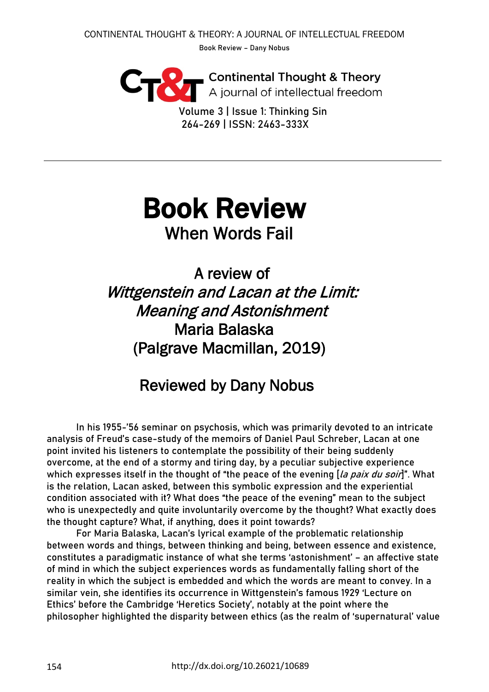**Continental Thought & Theory**<br>A journal of intellectual freedom

Volume 3 | Issue 1: Thinking Sin 264-269 | ISSN: 2463-333X

## Book Review When Words Fail

A review of Wittgenstein and Lacan at the Limit: Meaning and Astonishment Maria Balaska (Palgrave Macmillan, 2019)

## Reviewed by Dany Nobus

In his 1955-'56 seminar on psychosis, which was primarily devoted to an intricate analysis of Freud's case-study of the memoirs of Daniel Paul Schreber, Lacan at one point invited his listeners to contemplate the possibility of their being suddenly overcome, at the end of a stormy and tiring day, by a peculiar subjective experience which expresses itself in the thought of "the peace of the evening  $[la$  paix du soir]". What is the relation, Lacan asked, between this symbolic expression and the experiential condition associated with it? What does "the peace of the evening" mean to the subject who is unexpectedly and quite involuntarily overcome by the thought? What exactly does the thought capture? What, if anything, does it point towards?

For Maria Balaska, Lacan's lyrical example of the problematic relationship between words and things, between thinking and being, between essence and existence, constitutes a paradigmatic instance of what she terms 'astonishment' – an affective state of mind in which the subject experiences words as fundamentally falling short of the reality in which the subject is embedded and which the words are meant to convey. In a similar vein, she identifies its occurrence in Wittgenstein's famous 1929 'Lecture on Ethics' before the Cambridge 'Heretics Society', notably at the point where the philosopher highlighted the disparity between ethics (as the realm of 'supernatural' value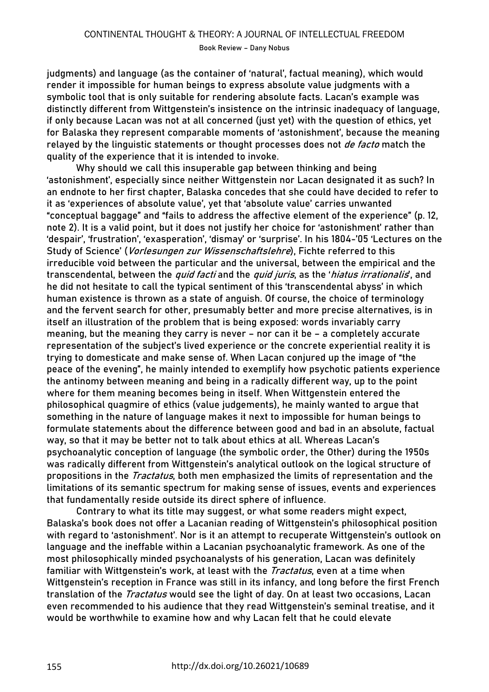Book Review – Dany Nobus

judgments) and language (as the container of 'natural', factual meaning), which would render it impossible for human beings to express absolute value judgments with a symbolic tool that is only suitable for rendering absolute facts. Lacan's example was distinctly different from Wittgenstein's insistence on the intrinsic inadequacy of language, if only because Lacan was not at all concerned (just yet) with the question of ethics, yet for Balaska they represent comparable moments of 'astonishment', because the meaning relayed by the linguistic statements or thought processes does not *de facto* match the quality of the experience that it is intended to invoke.

Why should we call this insuperable gap between thinking and being 'astonishment', especially since neither Wittgenstein nor Lacan designated it as such? In an endnote to her first chapter, Balaska concedes that she could have decided to refer to it as 'experiences of absolute value', yet that 'absolute value' carries unwanted "conceptual baggage" and "fails to address the affective element of the experience" (p. 12, note 2). It is a valid point, but it does not justify her choice for 'astonishment' rather than 'despair', 'frustration', 'exasperation', 'dismay' or 'surprise'. In his 1804-'05 'Lectures on the Study of Science' (Vorlesungen zur Wissenschaftslehre), Fichte referred to this irreducible void between the particular and the universal, between the empirical and the transcendental, between the *quid facti* and the *quid juris*, as the '*hiatus irrationalis*', and he did not hesitate to call the typical sentiment of this 'transcendental abyss' in which human existence is thrown as a state of anguish. Of course, the choice of terminology and the fervent search for other, presumably better and more precise alternatives, is in itself an illustration of the problem that is being exposed: words invariably carry meaning, but the meaning they carry is never – nor can it be – a completely accurate representation of the subject's lived experience or the concrete experiential reality it is trying to domesticate and make sense of. When Lacan conjured up the image of "the peace of the evening", he mainly intended to exemplify how psychotic patients experience the antinomy between meaning and being in a radically different way, up to the point where for them meaning becomes being in itself. When Wittgenstein entered the philosophical quagmire of ethics (value judgements), he mainly wanted to argue that something in the nature of language makes it next to impossible for human beings to formulate statements about the difference between good and bad in an absolute, factual way, so that it may be better not to talk about ethics at all. Whereas Lacan's psychoanalytic conception of language (the symbolic order, the Other) during the 1950s was radically different from Wittgenstein's analytical outlook on the logical structure of propositions in the *Tractatus*, both men emphasized the limits of representation and the limitations of its semantic spectrum for making sense of issues, events and experiences that fundamentally reside outside its direct sphere of influence.

Contrary to what its title may suggest, or what some readers might expect, Balaska's book does not offer a Lacanian reading of Wittgenstein's philosophical position with regard to 'astonishment'. Nor is it an attempt to recuperate Wittgenstein's outlook on language and the ineffable within a Lacanian psychoanalytic framework. As one of the most philosophically minded psychoanalysts of his generation, Lacan was definitely familiar with Wittgenstein's work, at least with the *Tractatus*, even at a time when Wittgenstein's reception in France was still in its infancy, and long before the first French translation of the *Tractatus* would see the light of day. On at least two occasions, Lacan even recommended to his audience that they read Wittgenstein's seminal treatise, and it would be worthwhile to examine how and why Lacan felt that he could elevate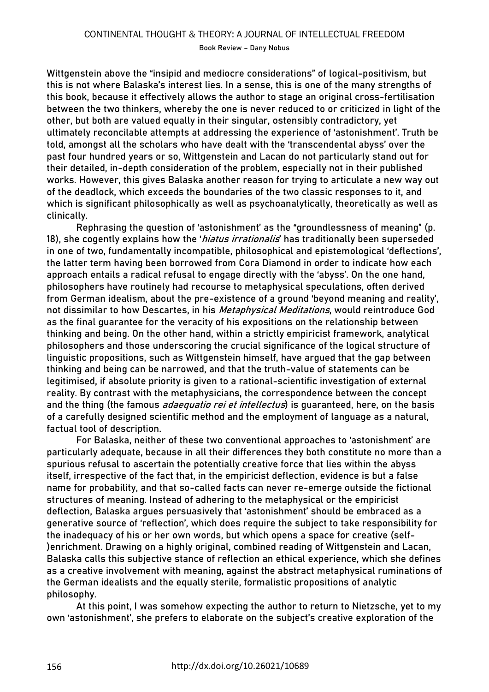Book Review – Dany Nobus

Wittgenstein above the "insipid and mediocre considerations" of logical-positivism, but this is not where Balaska's interest lies. In a sense, this is one of the many strengths of this book, because it effectively allows the author to stage an original cross-fertilisation between the two thinkers, whereby the one is never reduced to or criticized in light of the other, but both are valued equally in their singular, ostensibly contradictory, yet ultimately reconcilable attempts at addressing the experience of 'astonishment'. Truth be told, amongst all the scholars who have dealt with the 'transcendental abyss' over the past four hundred years or so, Wittgenstein and Lacan do not particularly stand out for their detailed, in-depth consideration of the problem, especially not in their published works. However, this gives Balaska another reason for trying to articulate a new way out of the deadlock, which exceeds the boundaries of the two classic responses to it, and which is significant philosophically as well as psychoanalytically, theoretically as well as clinically.

Rephrasing the question of 'astonishment' as the "groundlessness of meaning" (p. 18), she cogently explains how the '*hiatus irrationalis*' has traditionally been superseded in one of two, fundamentally incompatible, philosophical and epistemological 'deflections', the latter term having been borrowed from Cora Diamond in order to indicate how each approach entails a radical refusal to engage directly with the 'abyss'. On the one hand, philosophers have routinely had recourse to metaphysical speculations, often derived from German idealism, about the pre-existence of a ground 'beyond meaning and reality', not dissimilar to how Descartes, in his Metaphysical Meditations, would reintroduce God as the final guarantee for the veracity of his expositions on the relationship between thinking and being. On the other hand, within a strictly empiricist framework, analytical philosophers and those underscoring the crucial significance of the logical structure of linguistic propositions, such as Wittgenstein himself, have argued that the gap between thinking and being can be narrowed, and that the truth-value of statements can be legitimised, if absolute priority is given to a rational-scientific investigation of external reality. By contrast with the metaphysicians, the correspondence between the concept and the thing (the famous *adaequatio rei et intellectus*) is guaranteed, here, on the basis of a carefully designed scientific method and the employment of language as a natural, factual tool of description.

For Balaska, neither of these two conventional approaches to 'astonishment' are particularly adequate, because in all their differences they both constitute no more than a spurious refusal to ascertain the potentially creative force that lies within the abyss itself, irrespective of the fact that, in the empiricist deflection, evidence is but a false name for probability, and that so-called facts can never re-emerge outside the fictional structures of meaning. Instead of adhering to the metaphysical or the empiricist deflection, Balaska argues persuasively that 'astonishment' should be embraced as a generative source of 'reflection', which does require the subject to take responsibility for the inadequacy of his or her own words, but which opens a space for creative (self- )enrichment. Drawing on a highly original, combined reading of Wittgenstein and Lacan, Balaska calls this subjective stance of reflection an ethical experience, which she defines as a creative involvement with meaning, against the abstract metaphysical ruminations of the German idealists and the equally sterile, formalistic propositions of analytic philosophy.

At this point, I was somehow expecting the author to return to Nietzsche, yet to my own 'astonishment', she prefers to elaborate on the subject's creative exploration of the